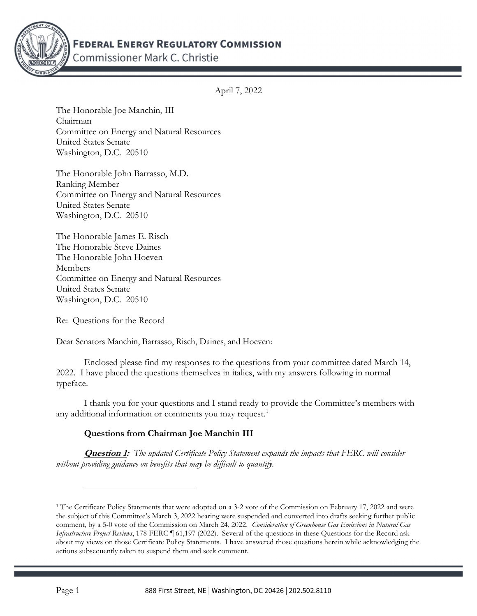

Commissioner Mark C. Christie

April 7, 2022

The Honorable Joe Manchin, III Chairman Committee on Energy and Natural Resources United States Senate Washington, D.C. 20510

The Honorable John Barrasso, M.D. Ranking Member Committee on Energy and Natural Resources United States Senate Washington, D.C. 20510

The Honorable James E. Risch The Honorable Steve Daines The Honorable John Hoeven Members Committee on Energy and Natural Resources United States Senate Washington, D.C. 20510

Re: Questions for the Record

Dear Senators Manchin, Barrasso, Risch, Daines, and Hoeven:

Enclosed please find my responses to the questions from your committee dated March 14, 2022. I have placed the questions themselves in italics, with my answers following in normal typeface.

I thank you for your questions and I stand ready to provide the Committee's members with any additional information or comments you may request.<sup>1</sup>

## Questions from Chairman Joe Manchin III

**Question 1:** The updated Certificate Policy Statement expands the impacts that FERC will consider without providing guidance on benefits that may be difficult to quantify.

<sup>&</sup>lt;sup>1</sup> The Certificate Policy Statements that were adopted on a 3-2 vote of the Commission on February 17, 2022 and were the subject of this Committee's March 3, 2022 hearing were suspended and converted into drafts seeking further public comment, by a 5-0 vote of the Commission on March 24, 2022. Consideration of Greenhouse Gas Emissions in Natural Gas Infrastructure Project Reviews, 178 FERC 161,197 (2022). Several of the questions in these Questions for the Record ask about my views on those Certificate Policy Statements. I have answered those questions herein while acknowledging the actions subsequently taken to suspend them and seek comment.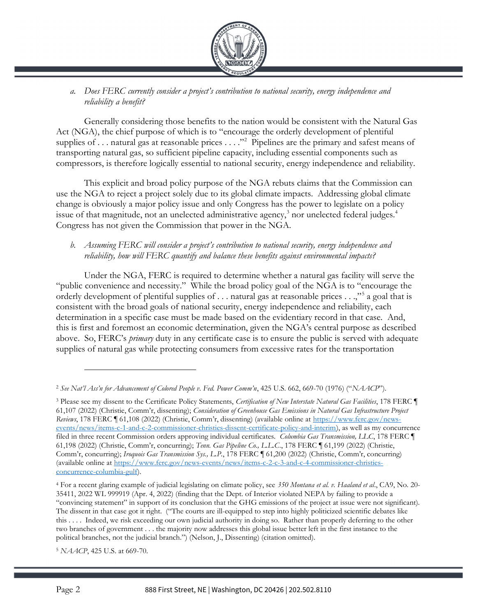

a. Does FERC currently consider a project's contribution to national security, energy independence and reliability a benefit?

Generally considering those benefits to the nation would be consistent with the Natural Gas Act (NGA), the chief purpose of which is to "encourage the orderly development of plentiful supplies of ... natural gas at reasonable prices  $\dots$ ."<sup>2</sup> Pipelines are the primary and safest means of transporting natural gas, so sufficient pipeline capacity, including essential components such as compressors, is therefore logically essential to national security, energy independence and reliability.

This explicit and broad policy purpose of the NGA rebuts claims that the Commission can use the NGA to reject a project solely due to its global climate impacts. Addressing global climate change is obviously a major policy issue and only Congress has the power to legislate on a policy issue of that magnitude, not an unelected administrative agency,<sup>3</sup> nor unelected federal judges.<sup>4</sup> Congress has not given the Commission that power in the NGA.

#### b. Assuming FERC will consider a project's contribution to national security, energy independence and reliability, how will FERC quantify and balance these benefits against environmental impacts?

Under the NGA, FERC is required to determine whether a natural gas facility will serve the "public convenience and necessity." While the broad policy goal of the NGA is to "encourage the orderly development of plentiful supplies of . . . natural gas at reasonable prices . . .,"<sup>5</sup> a goal that is consistent with the broad goals of national security, energy independence and reliability, each determination in a specific case must be made based on the evidentiary record in that case. And, this is first and foremost an economic determination, given the NGA's central purpose as described above. So, FERC's primary duty in any certificate case is to ensure the public is served with adequate supplies of natural gas while protecting consumers from excessive rates for the transportation

<sup>5</sup> NAACP, 425 U.S. at 669-70.

<sup>&</sup>lt;sup>2</sup> See Nat'l Ass'n for Advancement of Colored People v. Fed. Power Comm'n, 425 U.S. 662, 669-70 (1976) ("NAACP").

<sup>&</sup>lt;sup>3</sup> Please see my dissent to the Certificate Policy Statements, Certification of New Interstate Natural Gas Facilities, 178 FERC ¶ 61,107 (2022) (Christie, Comm'r, dissenting); Consideration of Greenhouse Gas Emissions in Natural Gas Infrastructure Project Reviews, 178 FERC [61,108 (2022) (Christie, Comm'r, dissenting) (available online at https://www.ferc.gov/newsevents/news/items-c-1-and-c-2-commissioner-christies-dissent-certificate-policy-and-interim), as well as my concurrence filed in three recent Commission orders approving individual certificates. Columbia Gas Transmission, LLC, 178 FERC ¶ 61,198 (2022) (Christie, Comm'r, concurring); Tenn. Gas Pipeline Co., L.L.C., 178 FERC ¶ 61,199 (2022) (Christie, Comm'r, concurring); Iroquois Gas Transmission Sys., L.P., 178 FERC ¶ 61,200 (2022) (Christie, Comm'r, concurring) (available online at https://www.ferc.gov/news-events/news/items-c-2-c-3-and-c-4-commissioner-christiesconcurrence-columbia-gulf).

<sup>&</sup>lt;sup>4</sup> For a recent glaring example of judicial legislating on climate policy, see 350 Montana et al. v. Haaland et al., CA9, No. 20-35411, 2022 WL 999919 (Apr. 4, 2022) (finding that the Dept. of Interior violated NEPA by failing to provide a "convincing statement" in support of its conclusion that the GHG emissions of the project at issue were not significant). The dissent in that case got it right. ("The courts are ill-equipped to step into highly politicized scientific debates like this . . . . Indeed, we risk exceeding our own judicial authority in doing so. Rather than properly deferring to the other two branches of government . . . the majority now addresses this global issue better left in the first instance to the political branches, not the judicial branch.") (Nelson, J., Dissenting) (citation omitted).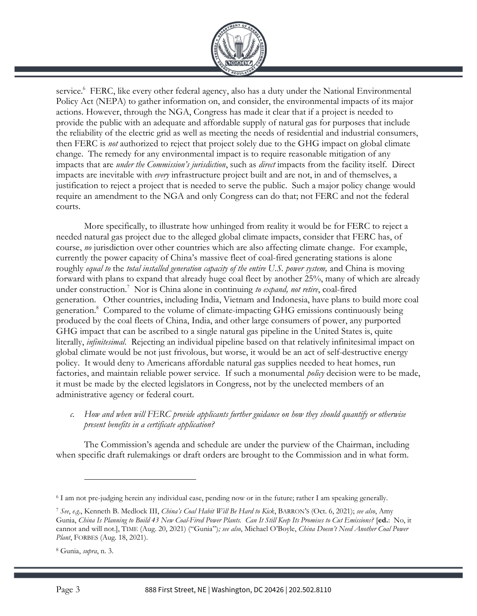

service.<sup>6</sup> FERC, like every other federal agency, also has a duty under the National Environmental Policy Act (NEPA) to gather information on, and consider, the environmental impacts of its major actions. However, through the NGA, Congress has made it clear that if a project is needed to provide the public with an adequate and affordable supply of natural gas for purposes that include the reliability of the electric grid as well as meeting the needs of residential and industrial consumers, then FERC is *not* authorized to reject that project solely due to the GHG impact on global climate change. The remedy for any environmental impact is to require reasonable mitigation of any impacts that are *under the Commission's jurisdiction*, such as *direct* impacts from the facility itself. Direct impacts are inevitable with every infrastructure project built and are not, in and of themselves, a justification to reject a project that is needed to serve the public. Such a major policy change would require an amendment to the NGA and only Congress can do that; not FERC and not the federal courts.

 More specifically, to illustrate how unhinged from reality it would be for FERC to reject a needed natural gas project due to the alleged global climate impacts, consider that FERC has, of course, no jurisdiction over other countries which are also affecting climate change. For example, currently the power capacity of China's massive fleet of coal-fired generating stations is alone roughly equal to the total installed generation capacity of the entire U.S. power system, and China is moving forward with plans to expand that already huge coal fleet by another 25%, many of which are already under construction.<sup>7</sup> Nor is China alone in continuing to expand, not retire, coal-fired generation. Other countries, including India, Vietnam and Indonesia, have plans to build more coal generation.<sup>8</sup> Compared to the volume of climate-impacting GHG emissions continuously being produced by the coal fleets of China, India, and other large consumers of power, any purported GHG impact that can be ascribed to a single natural gas pipeline in the United States is, quite literally, *infinitesimal*. Rejecting an individual pipeline based on that relatively infinitesimal impact on global climate would be not just frivolous, but worse, it would be an act of self-destructive energy policy. It would deny to Americans affordable natural gas supplies needed to heat homes, run factories, and maintain reliable power service. If such a monumental *policy* decision were to be made, it must be made by the elected legislators in Congress, not by the unelected members of an administrative agency or federal court.

c. How and when will FERC provide applicants further guidance on how they should quantify or otherwise present benefits in a certificate application?

The Commission's agenda and schedule are under the purview of the Chairman, including when specific draft rulemakings or draft orders are brought to the Commission and in what form.

<sup>6</sup> I am not pre-judging herein any individual case, pending now or in the future; rather I am speaking generally.

<sup>7</sup> See, e.g., Kenneth B. Medlock III, China's Coal Habit Will Be Hard to Kick, BARRON'S (Oct. 6, 2021); see also, Amy Gunia, China Is Planning to Build 43 New Coal-Fired Power Plants. Can It Still Keep Its Promises to Cut Emissions? [ed.: No, it cannot and will not.], TIME (Aug. 20, 2021) ("Gunia"); see also, Michael O'Boyle, China Doesn't Need Another Coal Power Plant, FORBES (Aug. 18, 2021).

<sup>&</sup>lt;sup>8</sup> Gunia, *supra*, n. 3.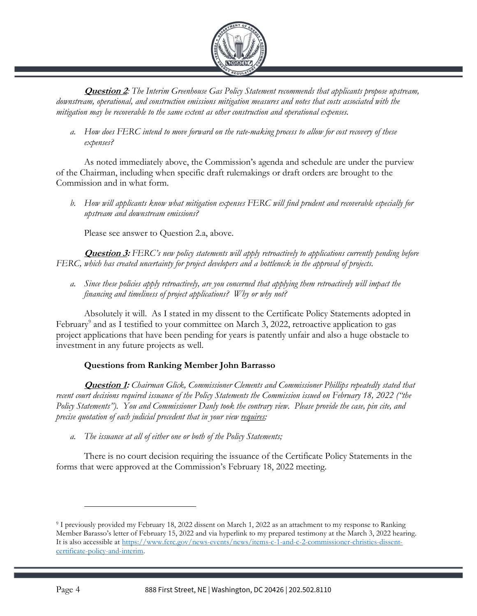

**Question 2:** The Interim Greenhouse Gas Policy Statement recommends that applicants propose upstream, downstream, operational, and construction emissions mitigation measures and notes that costs associated with the mitigation may be recoverable to the same extent as other construction and operational expenses.

a. How does FERC intend to move forward on the rate-making process to allow for cost recovery of these expenses?

As noted immediately above, the Commission's agenda and schedule are under the purview of the Chairman, including when specific draft rulemakings or draft orders are brought to the Commission and in what form.

b. How will applicants know what mitigation expenses FERC will find prudent and recoverable especially for upstream and downstream emissions?

Please see answer to Question 2.a, above.

**Question 3:** FERC's new policy statements will apply retroactively to applications currently pending before FERC, which has created uncertainty for project developers and a bottleneck in the approval of projects.

a. Since these policies apply retroactively, are you concerned that applying them retroactively will impact the financing and timeliness of project applications? Why or why not?

Absolutely it will. As I stated in my dissent to the Certificate Policy Statements adopted in February<sup>9</sup> and as I testified to your committee on March 3, 2022, retroactive application to gas project applications that have been pending for years is patently unfair and also a huge obstacle to investment in any future projects as well.

## Questions from Ranking Member John Barrasso

**Question 1:** Chairman Glick, Commissioner Clements and Commissioner Phillips repeatedly stated that recent court decisions required issuance of the Policy Statements the Commission issued on February 18, 2022 ("the Policy Statements"). You and Commissioner Danly took the contrary view. Please provide the case, pin cite, and precise quotation of each judicial precedent that in your view requires:

a. The issuance at all of either one or both of the Policy Statements;

There is no court decision requiring the issuance of the Certificate Policy Statements in the forms that were approved at the Commission's February 18, 2022 meeting.

<sup>9</sup> I previously provided my February 18, 2022 dissent on March 1, 2022 as an attachment to my response to Ranking Member Barasso's letter of February 15, 2022 and via hyperlink to my prepared testimony at the March 3, 2022 hearing. It is also accessible at https://www.ferc.gov/news-events/news/items-c-1-and-c-2-commissioner-christies-dissentcertificate-policy-and-interim.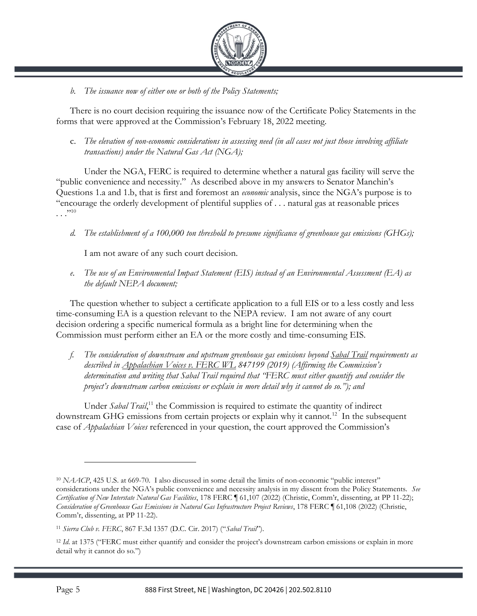

### b. The issuance now of either one or both of the Policy Statements;

There is no court decision requiring the issuance now of the Certificate Policy Statements in the forms that were approved at the Commission's February 18, 2022 meeting.

c. The elevation of non-economic considerations in assessing need (in all cases not just those involving affiliate transactions) under the Natural Gas  $Act$  (NGA);

Under the NGA, FERC is required to determine whether a natural gas facility will serve the "public convenience and necessity." As described above in my answers to Senator Manchin's Questions 1.a and 1.b, that is first and foremost an *economic* analysis, since the NGA's purpose is to "encourage the orderly development of plentiful supplies of . . . natural gas at reasonable prices  $\cdots^{10}$ 

d. The establishment of a 100,000 ton threshold to presume significance of greenhouse gas emissions (GHGs);

I am not aware of any such court decision.

e. The use of an Environmental Impact Statement (EIS) instead of an Environmental Assessment (EA) as the default NEPA document;

The question whether to subject a certificate application to a full EIS or to a less costly and less time-consuming EA is a question relevant to the NEPA review. I am not aware of any court decision ordering a specific numerical formula as a bright line for determining when the Commission must perform either an EA or the more costly and time-consuming EIS.

f. The consideration of downstream and upstream greenhouse gas emissions beyond Sabal Trail requirements as described in  $\triangle$ ppalachian Voices v. FERC WL 847199 (2019) (Affirming the Commission's determination and writing that Sabal Trail required that "FERC must either quantify and consider the project's downstream carbon emissions or explain in more detail why it cannot do so."); and

Under Sabal Trail,<sup>11</sup> the Commission is required to estimate the quantity of indirect downstream GHG emissions from certain projects or explain why it cannot.<sup>12</sup> In the subsequent case of *Appalachian Voices* referenced in your question, the court approved the Commission's

<sup>&</sup>lt;sup>10</sup> NAACP, 425 U.S. at 669-70. I also discussed in some detail the limits of non-economic "public interest" considerations under the NGA's public convenience and necessity analysis in my dissent from the Policy Statements. See Certification of New Interstate Natural Gas Facilities, 178 FERC ¶ 61,107 (2022) (Christie, Comm'r, dissenting, at PP 11-22); Consideration of Greenhouse Gas Emissions in Natural Gas Infrastructure Project Reviews, 178 FERC ¶ 61,108 (2022) (Christie, Comm'r, dissenting, at PP 11-22).

<sup>11</sup> Sierra Club v. FERC, 867 F.3d 1357 (D.C. Cir. 2017) ("Sabal Trail").

 $12$  Id. at 1375 ("FERC must either quantify and consider the project's downstream carbon emissions or explain in more detail why it cannot do so.")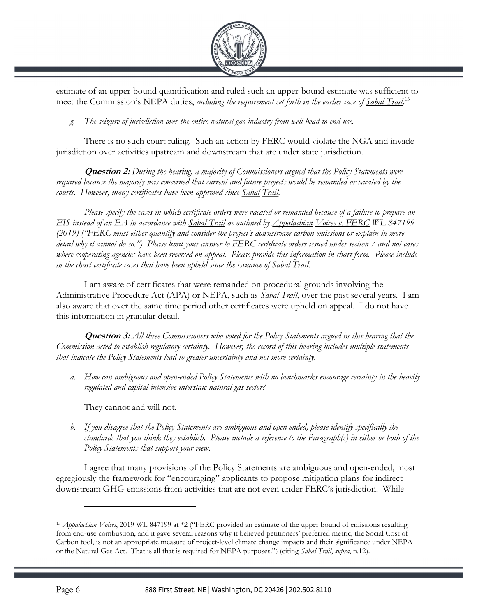

estimate of an upper-bound quantification and ruled such an upper-bound estimate was sufficient to meet the Commission's NEPA duties, including the requirement set forth in the earlier case of Sabal Trail.<sup>13</sup>

g. The seizure of jurisdiction over the entire natural gas industry from well head to end use.

There is no such court ruling. Such an action by FERC would violate the NGA and invade jurisdiction over activities upstream and downstream that are under state jurisdiction.

**Question 2:** During the hearing, a majority of Commissioners argued that the Policy Statements were required because the majority was concerned that current and future projects would be remanded or vacated by the courts. However, many certificates have been approved since Sabal Trail.

Please specify the cases in which certificate orders were vacated or remanded because of a failure to prepare an EIS instead of an EA in accordance with Sabal Trail as outlined by Appalachian Voices v. FERC WL 847199 (2019) ("FERC must either quantify and consider the project's downstream carbon emissions or explain in more detail why it cannot do so.") Please limit your answer to FERC certificate orders issued under section 7 and not cases where cooperating agencies have been reversed on appeal. Please provide this information in chart form. Please include in the chart certificate cases that have been upheld since the issuance of Sabal Trail.

I am aware of certificates that were remanded on procedural grounds involving the Administrative Procedure Act (APA) or NEPA, such as *Sabal Trail*, over the past several years. I am also aware that over the same time period other certificates were upheld on appeal. I do not have this information in granular detail.

**Question 3:** All three Commissioners who voted for the Policy Statements argued in this hearing that the Commission acted to establish regulatory certainty. However, the record of this hearing includes multiple statements that indicate the Policy Statements lead to greater uncertainty and not more certainty.

a. How can ambiguous and open-ended Policy Statements with no benchmarks encourage certainty in the heavily regulated and capital intensive interstate natural gas sector?

They cannot and will not.

b. If you disagree that the Policy Statements are ambiguous and open-ended, please identify specifically the standards that you think they establish. Please include a reference to the Paragraph(s) in either or both of the Policy Statements that support your view.

I agree that many provisions of the Policy Statements are ambiguous and open-ended, most egregiously the framework for "encouraging" applicants to propose mitigation plans for indirect downstream GHG emissions from activities that are not even under FERC's jurisdiction. While

<sup>&</sup>lt;sup>13</sup> Appalachian Voices, 2019 WL 847199 at \*2 ("FERC provided an estimate of the upper bound of emissions resulting from end-use combustion, and it gave several reasons why it believed petitioners' preferred metric, the Social Cost of Carbon tool, is not an appropriate measure of project-level climate change impacts and their significance under NEPA or the Natural Gas Act. That is all that is required for NEPA purposes.") (citing Sabal Trail, supra, n.12).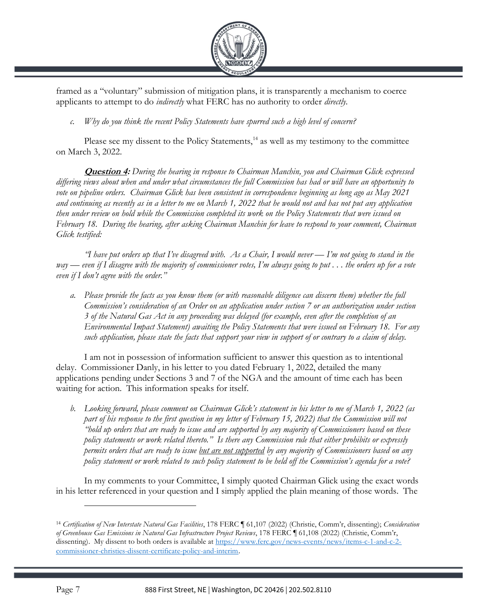

framed as a "voluntary" submission of mitigation plans, it is transparently a mechanism to coerce applicants to attempt to do *indirectly* what FERC has no authority to order *directly*.

c. Why do you think the recent Policy Statements have spurred such a high level of concern?

Please see my dissent to the Policy Statements, $14$  as well as my testimony to the committee on March 3, 2022.

**Question 4:** During the hearing in response to Chairman Manchin, you and Chairman Glick expressed differing views about when and under what circumstances the full Commission has had or will have an opportunity to vote on pipeline orders. Chairman Glick has been consistent in correspondence beginning as long ago as May 2021 and continuing as recently as in a letter to me on March 1, 2022 that he would not and has not put any application then under review on hold while the Commission completed its work on the Policy Statements that were issued on February 18. During the hearing, after asking Chairman Manchin for leave to respond to your comment, Chairman Glick testified:

"I have put orders up that I've disagreed with. As a Chair, I would never — I'm not going to stand in the way — even if I disagree with the majority of commissioner votes, I'm always going to put . . . the orders up for a vote even if  $I$  don't agree with the order."

a. Please provide the facts as you know them (or with reasonable diligence can discern them) whether the full Commission's consideration of an Order on an application under section 7 or an authorization under section 3 of the Natural Gas Act in any proceeding was delayed (for example, even after the completion of an Environmental Impact Statement) awaiting the Policy Statements that were issued on February 18. For any such application, please state the facts that support your view in support of or contrary to a claim of delay.

I am not in possession of information sufficient to answer this question as to intentional delay. Commissioner Danly, in his letter to you dated February 1, 2022, detailed the many applications pending under Sections 3 and 7 of the NGA and the amount of time each has been waiting for action. This information speaks for itself.

b. Looking forward, please comment on Chairman Glick's statement in his letter to me of March 1, 2022 (as part of his response to the first question in my letter of February 15, 2022) that the Commission will not "hold up orders that are ready to issue and are supported by any majority of Commissioners based on these policy statements or work related thereto." Is there any Commission rule that either prohibits or expressly permits orders that are ready to issue <u>but are not supported</u> by any majority of Commissioners based on any policy statement or work related to such policy statement to be held off the Commission's agenda for a vote?

In my comments to your Committee, I simply quoted Chairman Glick using the exact words in his letter referenced in your question and I simply applied the plain meaning of those words. The

<sup>&</sup>lt;sup>14</sup> Certification of New Interstate Natural Gas Facilities, 178 FERC [61,107 (2022) (Christie, Comm'r, dissenting); Consideration of Greenhouse Gas Emissions in Natural Gas Infrastructure Project Reviews, 178 FERC ¶ 61,108 (2022) (Christie, Comm'r, dissenting). My dissent to both orders is available at https://www.ferc.gov/news-events/news/items-c-1-and-c-2 commissioner-christies-dissent-certificate-policy-and-interim.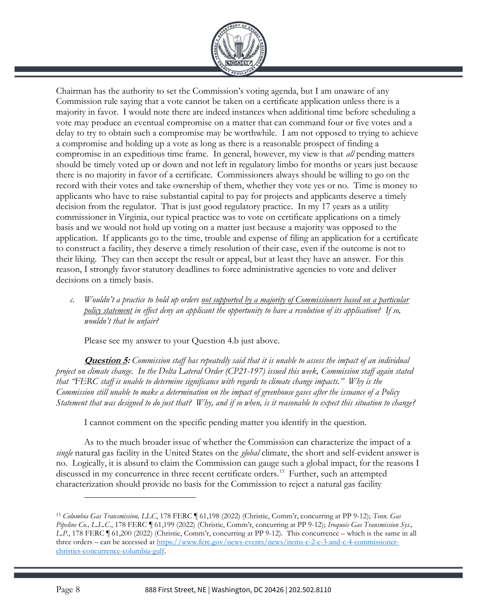

Chairman has the authority to set the Commission's voting agenda, but I am unaware of any Commission rule saying that a vote cannot be taken on a certificate application unless there is a majority in favor. I would note there are indeed instances when additional time before scheduling a vote may produce an eventual compromise on a matter that can command four or five votes and a delay to try to obtain such a compromise may be worthwhile. I am not opposed to trying to achieve a compromise and holding up a vote as long as there is a reasonable prospect of finding a compromise in an expeditious time frame. In general, however, my view is that all pending matters should be timely voted up or down and not left in regulatory limbo for months or years just because there is no majority in favor of a certificate. Commissioners always should be willing to go on the record with their votes and take ownership of them, whether they vote yes or no. Time is money to applicants who have to raise substantial capital to pay for projects and applicants deserve a timely decision from the regulator. That is just good regulatory practice. In my 17 years as a utility commissioner in Virginia, our typical practice was to vote on certificate applications on a timely basis and we would not hold up voting on a matter just because a majority was opposed to the application. If applicants go to the time, trouble and expense of filing an application for a certificate to construct a facility, they deserve a timely resolution of their case, even if the outcome is not to their liking. They can then accept the result or appeal, but at least they have an answer. For this reason, I strongly favor statutory deadlines to force administrative agencies to vote and deliver decisions on a timely basis.

c. Wouldn't a practice to hold up orders <u>not supported by a majority of Commissioners based on a particular</u> policy statement in effect deny an applicant the opportunity to have a resolution of its application? If so, wouldn't that be unfair?

Please see my answer to your Question 4.b just above.

**Question 5:** Commission staff has repeatedly said that it is unable to assess the impact of an individual project on climate change. In the Delta Lateral Order (CP21-197) issued this week, Commission staff again stated that "FERC staff is unable to determine significance with regards to climate change impacts." Why is the Commission still unable to make a determination on the impact of greenhouse gases after the issuance of a Policy Statement that was designed to do just that? Why, and if so when, is it reasonable to expect this situation to change?

I cannot comment on the specific pending matter you identify in the question.

As to the much broader issue of whether the Commission can characterize the impact of a single natural gas facility in the United States on the *global* climate, the short and self-evident answer is no. Logically, it is absurd to claim the Commission can gauge such a global impact, for the reasons I discussed in my concurrence in three recent certificate orders.<sup>15</sup> Further, such an attempted characterization should provide no basis for the Commission to reject a natural gas facility

<sup>&</sup>lt;sup>15</sup> Columbia Gas Transmission, LLC, 178 FERC ¶ 61,198 (2022) (Christie, Comm'r, concurring at PP 9-12); Tenn. Gas Pipeline Co., L.L.C., 178 FERC 1 61,199 (2022) (Christie, Comm'r, concurring at PP 9-12); Iroquois Gas Transmission Sys., L.P., 178 FERC ¶ 61,200 (2022) (Christie, Comm'r, concurring at PP 9-12). This concurrence – which is the same in all three orders – can be accessed at https://www.ferc.gov/news-events/news/items-c-2-c-3-and-c-4-commissionerchristies-concurrence-columbia-gulf.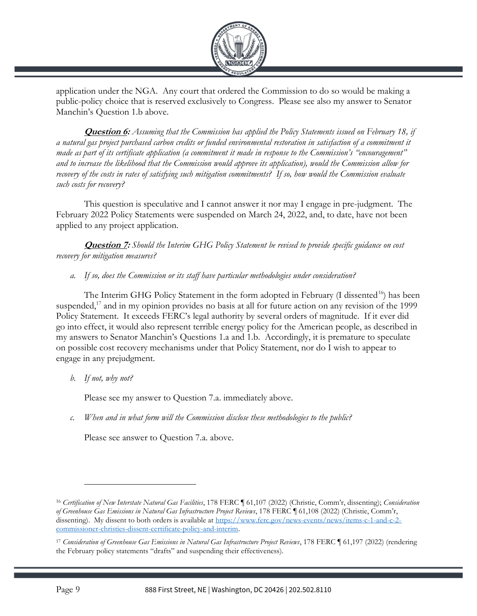

application under the NGA. Any court that ordered the Commission to do so would be making a public-policy choice that is reserved exclusively to Congress. Please see also my answer to Senator Manchin's Question 1.b above.

**Question 6:** Assuming that the Commission has applied the Policy Statements issued on February 18, if a natural gas project purchased carbon credits or funded environmental restoration in satisfaction of a commitment it made as part of its certificate application (a commitment it made in response to the Commission's "encouragement" and to increase the likelihood that the Commission would approve its application), would the Commission allow for recovery of the costs in rates of satisfying such mitigation commitments? If so, how would the Commission evaluate such costs for recovery?

This question is speculative and I cannot answer it nor may I engage in pre-judgment. The February 2022 Policy Statements were suspended on March 24, 2022, and, to date, have not been applied to any project application.

**Question 7:** Should the Interim GHG Policy Statement be revised to provide specific guidance on cost recovery for mitigation measures?

a. If so, does the Commission or its staff have particular methodologies under consideration?

The Interim GHG Policy Statement in the form adopted in February  $(I$  dissented<sup>16</sup> $)$  has been suspended,<sup>17</sup> and in my opinion provides no basis at all for future action on any revision of the 1999 Policy Statement. It exceeds FERC's legal authority by several orders of magnitude. If it ever did go into effect, it would also represent terrible energy policy for the American people, as described in my answers to Senator Manchin's Questions 1.a and 1.b. Accordingly, it is premature to speculate on possible cost recovery mechanisms under that Policy Statement, nor do I wish to appear to engage in any prejudgment.

b. If not, why not?

Please see my answer to Question 7.a. immediately above.

c. When and in what form will the Commission disclose these methodologies to the public?

Please see answer to Question 7.a. above.

<sup>&</sup>lt;sup>16</sup> Certification of New Interstate Natural Gas Facilities, 178 FERC ¶ 61,107 (2022) (Christie, Comm'r, dissenting); Consideration of Greenhouse Gas Emissions in Natural Gas Infrastructure Project Reviews, 178 FERC ¶ 61,108 (2022) (Christie, Comm'r, dissenting). My dissent to both orders is available at https://www.ferc.gov/news-events/news/items-c-1-and-c-2 commissioner-christies-dissent-certificate-policy-and-interim.

<sup>&</sup>lt;sup>17</sup> Consideration of Greenhouse Gas Emissions in Natural Gas Infrastructure Project Reviews, 178 FERC ¶ 61,197 (2022) (rendering the February policy statements "drafts" and suspending their effectiveness).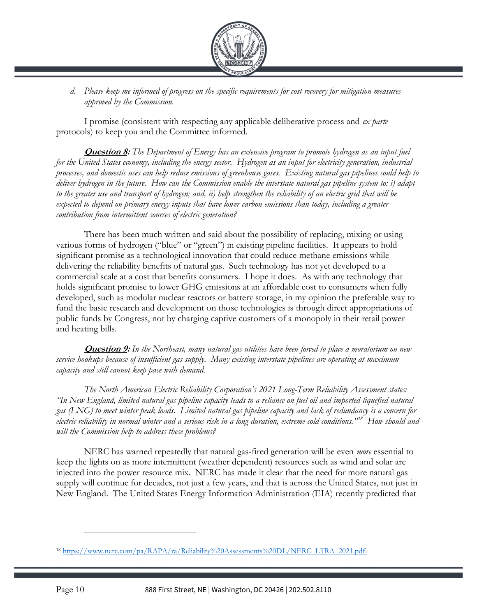

d. Please keep me informed of progress on the specific requirements for cost recovery for mitigation measures approved by the Commission.

I promise (consistent with respecting any applicable deliberative process and  $ex$  parte protocols) to keep you and the Committee informed.

**Question 8:** The Department of Energy has an extensive program to promote hydrogen as an input fuel for the United States economy, including the energy sector. Hydrogen as an input for electricity generation, industrial processes, and domestic uses can help reduce emissions of greenhouse gases. Existing natural gas pipelines could help to deliver hydrogen in the future. How can the Commission enable the interstate natural gas pipeline system to: i) adapt to the greater use and transport of hydrogen; and, ii) help strengthen the reliability of an electric grid that will be expected to depend on primary energy inputs that have lower carbon emissions than today, including a greater contribution from intermittent sources of electric generation?

There has been much written and said about the possibility of replacing, mixing or using various forms of hydrogen ("blue" or "green") in existing pipeline facilities. It appears to hold significant promise as a technological innovation that could reduce methane emissions while delivering the reliability benefits of natural gas. Such technology has not yet developed to a commercial scale at a cost that benefits consumers. I hope it does. As with any technology that holds significant promise to lower GHG emissions at an affordable cost to consumers when fully developed, such as modular nuclear reactors or battery storage, in my opinion the preferable way to fund the basic research and development on those technologies is through direct appropriations of public funds by Congress, not by charging captive customers of a monopoly in their retail power and heating bills.

**Question 9:** In the Northeast, many natural gas utilities have been forced to place a moratorium on new service hookups because of insufficient gas supply. Many existing interstate pipelines are operating at maximum capacity and still cannot keep pace with demand.

The North American Electric Reliability Corporation's 2021 Long-Term Reliability Assessment states: "In New England, limited natural gas pipeline capacity leads to a reliance on fuel oil and imported liquefied natural gas (LNG) to meet winter peak loads. Limited natural gas pipeline capacity and lack of redundancy is a concern for electric reliability in normal winter and a serious risk in a long-duration, extreme cold conditions."<sup>18</sup> How should and will the Commission help to address these problems?

NERC has warned repeatedly that natural gas-fired generation will be even *more* essential to keep the lights on as more intermittent (weather dependent) resources such as wind and solar are injected into the power resource mix. NERC has made it clear that the need for more natural gas supply will continue for decades, not just a few years, and that is across the United States, not just in New England. The United States Energy Information Administration (EIA) recently predicted that

<sup>18</sup> https://www.nerc.com/pa/RAPA/ra/Reliability%20Assessments%20DL/NERC LTRA 2021.pdf.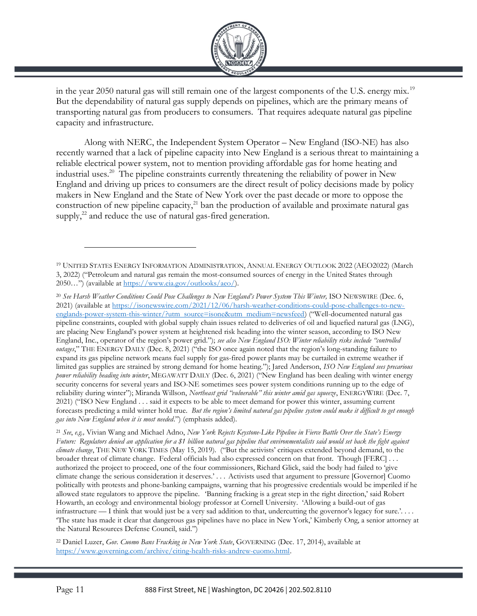

in the year 2050 natural gas will still remain one of the largest components of the U.S. energy mix.<sup>19</sup> But the dependability of natural gas supply depends on pipelines, which are the primary means of transporting natural gas from producers to consumers. That requires adequate natural gas pipeline capacity and infrastructure.

Along with NERC, the Independent System Operator – New England (ISO-NE) has also recently warned that a lack of pipeline capacity into New England is a serious threat to maintaining a reliable electrical power system, not to mention providing affordable gas for home heating and industrial uses.<sup>20</sup> The pipeline constraints currently threatening the reliability of power in New England and driving up prices to consumers are the direct result of policy decisions made by policy makers in New England and the State of New York over the past decade or more to oppose the construction of new pipeline capacity, $^{21}$  ban the production of available and proximate natural gas supply, $^{22}$  and reduce the use of natural gas-fired generation.

<sup>21</sup> See, e.g., Vivian Wang and Michael Adno, New York Rejects Keystone-Like Pipeline in Fierce Battle Over the State's Energy Future: Regulators denied an application for a \$1 billion natural gas pipeline that environmentalists said would set back the fight against climate change, THE NEW YORK TIMES (May 15, 2019). ("But the activists' critiques extended beyond demand, to the broader threat of climate change. Federal officials had also expressed concern on that front. Though [FERC] . . . authorized the project to proceed, one of the four commissioners, Richard Glick, said the body had failed to 'give climate change the serious consideration it deserves.' . . . Activists used that argument to pressure [Governor] Cuomo politically with protests and phone-banking campaigns, warning that his progressive credentials would be imperiled if he allowed state regulators to approve the pipeline. 'Banning fracking is a great step in the right direction,' said Robert Howarth, an ecology and environmental biology professor at Cornell University. 'Allowing a build-out of gas infrastructure — I think that would just be a very sad addition to that, undercutting the governor's legacy for sure.'... 'The state has made it clear that dangerous gas pipelines have no place in New York,' Kimberly Ong, a senior attorney at the Natural Resources Defense Council, said.")

<sup>22</sup> Daniel Luzer, Gov. Cuomo Bans Fracking in New York State, GOVERNING (Dec. 17, 2014), available at https://www.governing.com/archive/citing-health-risks-andrew-cuomo.html.

<sup>19</sup> UNITED STATES ENERGY INFORMATION ADMINISTRATION, ANNUAL ENERGY OUTLOOK 2022 (AEO2022) (March 3, 2022) ("Petroleum and natural gas remain the most-consumed sources of energy in the United States through 2050...") (available at https://www.eia.gov/outlooks/aeo/).

<sup>&</sup>lt;sup>20</sup> See Harsh Weather Conditions Could Pose Challenges to New England's Power System This Winter, ISO NEWSWIRE (Dec. 6, 2021) (available at https://isonewswire.com/2021/12/06/harsh-weather-conditions-could-pose-challenges-to-newenglands-power-system-this-winter/?utm source=isone&utm medium=newsfeed) ("Well-documented natural gas pipeline constraints, coupled with global supply chain issues related to deliveries of oil and liquefied natural gas (LNG), are placing New England's power system at heightened risk heading into the winter season, according to ISO New England, Inc., operator of the region's power grid."); see also New England ISO: Winter reliability risks include "controlled outages," THE ENERGY DAILY (Dec. 8, 2021) ("the ISO once again noted that the region's long-standing failure to expand its gas pipeline network means fuel supply for gas-fired power plants may be curtailed in extreme weather if limited gas supplies are strained by strong demand for home heating."); Jared Anderson, ISO New England sees precarious power reliability heading into winter, MEGAWATT DAILY (Dec. 6, 2021) ("New England has been dealing with winter energy security concerns for several years and ISO-NE sometimes sees power system conditions running up to the edge of reliability during winter"); Miranda Willson, Northeast grid "vulnerable" this winter amid gas squeeze, ENERGYWIRE (Dec. 7, 2021) ("ISO New England . . . said it expects to be able to meet demand for power this winter, assuming current forecasts predicting a mild winter hold true. But the region's limited natural gas pipeline system could make it difficult to get enough gas into New England when it is most needed.") (emphasis added).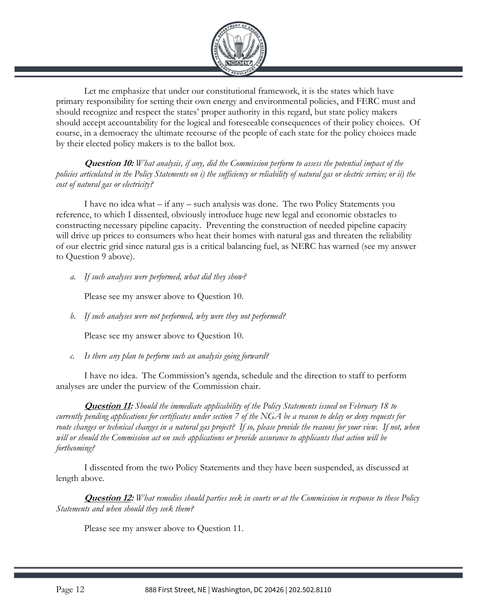

Let me emphasize that under our constitutional framework, it is the states which have primary responsibility for setting their own energy and environmental policies, and FERC must and should recognize and respect the states' proper authority in this regard, but state policy makers should accept accountability for the logical and foreseeable consequences of their policy choices. Of course, in a democracy the ultimate recourse of the people of each state for the policy choices made by their elected policy makers is to the ballot box.

**Question 10:** What analysis, if any, did the Commission perform to assess the potential impact of the policies articulated in the Policy Statements on i) the sufficiency or reliability of natural gas or electric service; or ii) the cost of natural gas or electricity?

I have no idea what – if any – such analysis was done. The two Policy Statements you reference, to which I dissented, obviously introduce huge new legal and economic obstacles to constructing necessary pipeline capacity. Preventing the construction of needed pipeline capacity will drive up prices to consumers who heat their homes with natural gas and threaten the reliability of our electric grid since natural gas is a critical balancing fuel, as NERC has warned (see my answer to Question 9 above).

a. If such analyses were performed, what did they show?

Please see my answer above to Question 10.

b. If such analyses were not performed, why were they not performed?

Please see my answer above to Question 10.

c. Is there any plan to perform such an analysis going forward?

I have no idea. The Commission's agenda, schedule and the direction to staff to perform analyses are under the purview of the Commission chair.

**Question 11:** Should the immediate applicability of the Policy Statements issued on February 18 to currently pending applications for certificates under section 7 of the NGA be a reason to delay or deny requests for route changes or technical changes in a natural gas project? If so, please provide the reasons for your view. If not, when will or should the Commission act on such applications or provide assurance to applicants that action will be forthcoming?

I dissented from the two Policy Statements and they have been suspended, as discussed at length above.

**Question 12:** What remedies should parties seek in courts or at the Commission in response to these Policy Statements and when should they seek them?

Please see my answer above to Question 11.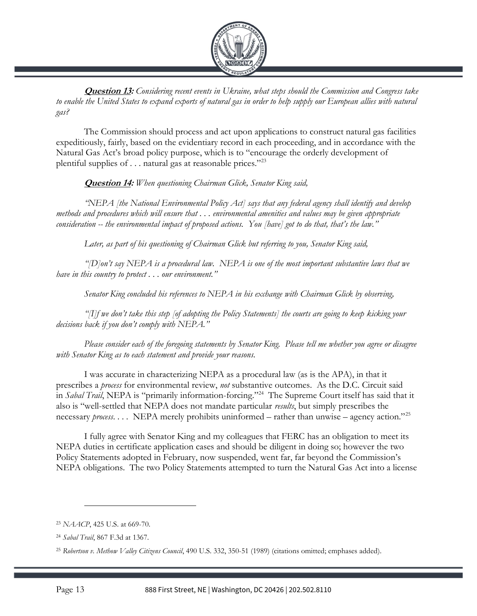

**Question 13:** Considering recent events in Ukraine, what steps should the Commission and Congress take to enable the United States to expand exports of natural gas in order to help supply our European allies with natural gas?

The Commission should process and act upon applications to construct natural gas facilities expeditiously, fairly, based on the evidentiary record in each proceeding, and in accordance with the Natural Gas Act's broad policy purpose, which is to "encourage the orderly development of plentiful supplies of  $\dots$  natural gas at reasonable prices."<sup>23</sup>

**Question 14:** When questioning Chairman Glick, Senator King said,

"NEPA [the National Environmental Policy Act] says that any federal agency shall identify and develop methods and procedures which will ensure that . . . environmental amenities and values may be given appropriate consideration -- the environmental impact of proposed actions. You [have] got to do that, that's the law."

Later, as part of his questioning of Chairman Glick but referring to you, Senator King said,

"[D]on't say NEPA is a procedural law. NEPA is one of the most important substantive laws that we have in this country to protect . . . our environment."

Senator King concluded his references to NEPA in his exchange with Chairman Glick by observing,

"[I]f we don't take this step [of adopting the Policy Statements] the courts are going to keep kicking your decisions back if you don't comply with NEPA."

Please consider each of the foregoing statements by Senator King. Please tell me whether you agree or disagree with Senator King as to each statement and provide your reasons.

I was accurate in characterizing NEPA as a procedural law (as is the APA), in that it prescribes a process for environmental review, not substantive outcomes. As the D.C. Circuit said in Sabal Trail, NEPA is "primarily information-forcing."<sup>24</sup> The Supreme Court itself has said that it also is "well-settled that NEPA does not mandate particular results, but simply prescribes the necessary *process.* . . . NEPA merely prohibits uninformed – rather than unwise – agency action."<sup>25</sup>

I fully agree with Senator King and my colleagues that FERC has an obligation to meet its NEPA duties in certificate application cases and should be diligent in doing so; however the two Policy Statements adopted in February, now suspended, went far, far beyond the Commission's NEPA obligations. The two Policy Statements attempted to turn the Natural Gas Act into a license

<sup>23</sup> NAACP, 425 U.S. at 669-70.

<sup>24</sup> Sabal Trail, 867 F.3d at 1367.

<sup>&</sup>lt;sup>25</sup> Robertson v. Methow Valley Citizens Council, 490 U.S. 332, 350-51 (1989) (citations omitted; emphases added).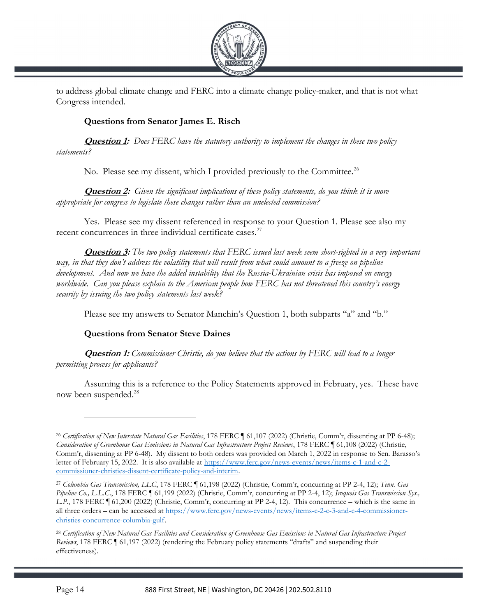

to address global climate change and FERC into a climate change policy-maker, and that is not what Congress intended.

# Questions from Senator James E. Risch

**Question 1:** Does FERC have the statutory authority to implement the changes in these two policy statements?

No. Please see my dissent, which I provided previously to the Committee.<sup>26</sup>

**Question 2:** Given the significant implications of these policy statements, do you think it is more appropriate for congress to legislate these changes rather than an unelected commission?

Yes. Please see my dissent referenced in response to your Question 1. Please see also my recent concurrences in three individual certificate cases.<sup>27</sup>

Question 3: The two policy statements that FERC issued last week seem short-sighted in a very important way, in that they don't address the volatility that will result from what could amount to a freeze on pipeline development. And now we have the added instability that the Russia-Ukrainian crisis has imposed on energy worldwide. Can you please explain to the American people how FERC has not threatened this country's energy security by issuing the two policy statements last week?

Please see my answers to Senator Manchin's Question 1, both subparts "a" and "b."

## Questions from Senator Steve Daines

**Question 1:** Commissioner Christie, do you believe that the actions by FERC will lead to a longer permitting process for applicants?

Assuming this is a reference to the Policy Statements approved in February, yes. These have now been suspended.<sup>28</sup>

<sup>&</sup>lt;sup>26</sup> Certification of New Interstate Natural Gas Facilities, 178 FERC ¶ 61,107 (2022) (Christie, Comm'r, dissenting at PP 6-48); Consideration of Greenhouse Gas Emissions in Natural Gas Infrastructure Project Reviews, 178 FERC ¶ 61,108 (2022) (Christie, Comm'r, dissenting at PP 6-48). My dissent to both orders was provided on March 1, 2022 in response to Sen. Barasso's letter of February 15, 2022. It is also available at https://www.ferc.gov/news-events/news/items-c-1-and-c-2 commissioner-christies-dissent-certificate-policy-and-interim.

<sup>&</sup>lt;sup>27</sup> Columbia Gas Transmission, LLC, 178 FERC 161,198 (2022) (Christie, Comm'r, concurring at PP 2-4, 12); Tenn. Gas Pipeline Co., L.L.C., 178 FERC [61,199 (2022) (Christie, Comm'r, concurring at PP 2-4, 12); Iroquois Gas Transmission Sys., L.P., 178 FERC ¶ 61,200 (2022) (Christie, Comm'r, concurring at PP 2-4, 12). This concurrence – which is the same in all three orders – can be accessed at https://www.ferc.gov/news-events/news/items-c-2-c-3-and-c-4-commissionerchristies-concurrence-columbia-gulf.

<sup>28</sup> Certification of New Natural Gas Facilities and Consideration of Greenhouse Gas Emissions in Natural Gas Infrastructure Project Reviews, 178 FERC ¶ 61,197 (2022) (rendering the February policy statements "drafts" and suspending their effectiveness).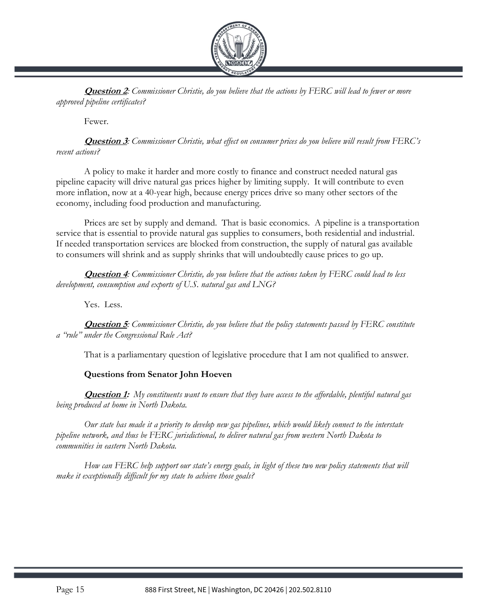

**Question 2:** Commissioner Christie, do you believe that the actions by FERC will lead to fewer or more approved pipeline certificates?

Fewer.

**Question 3**: Commissioner Christie, what effect on consumer prices do you believe will result from FERC's recent actions?

A policy to make it harder and more costly to finance and construct needed natural gas pipeline capacity will drive natural gas prices higher by limiting supply. It will contribute to even more inflation, now at a 40-year high, because energy prices drive so many other sectors of the economy, including food production and manufacturing.

Prices are set by supply and demand. That is basic economics. A pipeline is a transportation service that is essential to provide natural gas supplies to consumers, both residential and industrial. If needed transportation services are blocked from construction, the supply of natural gas available to consumers will shrink and as supply shrinks that will undoubtedly cause prices to go up.

**Question 4:** Commissioner Christie, do you believe that the actions taken by FERC could lead to less development, consumption and exports of U.S. natural gas and LNG?

Yes. Less.

**Question 5:** Commissioner Christie, do you believe that the policy statements passed by FERC constitute a "rule" under the Congressional Rule Act?

That is a parliamentary question of legislative procedure that I am not qualified to answer.

## Questions from Senator John Hoeven

**Question 1:** My constituents want to ensure that they have access to the affordable, plentiful natural gas being produced at home in North Dakota.

Our state has made it a priority to develop new gas pipelines, which would likely connect to the interstate pipeline network, and thus be FERC jurisdictional, to deliver natural gas from western North Dakota to communities in eastern North Dakota.

How can FERC help support our state's energy goals, in light of these two new policy statements that will make it exceptionally difficult for my state to achieve those goals?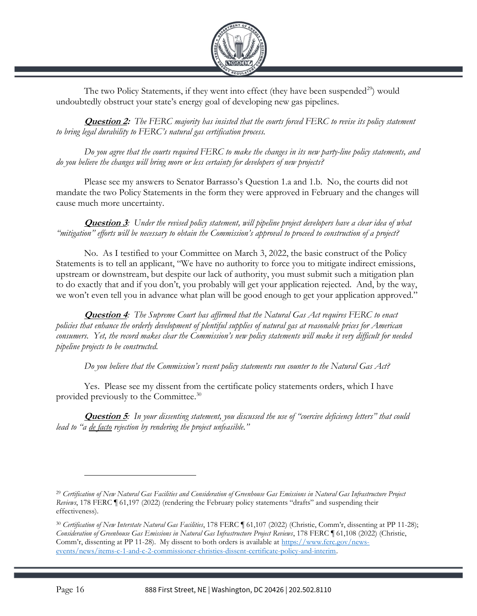

The two Policy Statements, if they went into effect (they have been suspended<sup>29</sup>) would undoubtedly obstruct your state's energy goal of developing new gas pipelines.

**Question 2:** The FERC majority has insisted that the courts forced FERC to revise its policy statement to bring legal durability to FERC's natural gas certification process.

Do you agree that the courts required FERC to make the changes in its new party-line policy statements, and do you believe the changes will bring more or less certainty for developers of new projects?

Please see my answers to Senator Barrasso's Question 1.a and 1.b. No, the courts did not mandate the two Policy Statements in the form they were approved in February and the changes will cause much more uncertainty.

**Question 3:** Under the revised policy statement, will pipeline project developers have a clear idea of what "mitigation" efforts will be necessary to obtain the Commission's approval to proceed to construction of a project?

No. As I testified to your Committee on March 3, 2022, the basic construct of the Policy Statements is to tell an applicant, "We have no authority to force you to mitigate indirect emissions, upstream or downstream, but despite our lack of authority, you must submit such a mitigation plan to do exactly that and if you don't, you probably will get your application rejected. And, by the way, we won't even tell you in advance what plan will be good enough to get your application approved."

**Question 4:** The Supreme Court has affirmed that the Natural Gas Act requires FERC to enact policies that enhance the orderly development of plentiful supplies of natural gas at reasonable prices for American consumers. Yet, the record makes clear the Commission's new policy statements will make it very difficult for needed pipeline projects to be constructed.

Do you believe that the Commission's recent policy statements run counter to the Natural Gas Act?

Yes. Please see my dissent from the certificate policy statements orders, which I have provided previously to the Committee.<sup>30</sup>

**Question 5**: In your dissenting statement, you discussed the use of "coercive deficiency letters" that could lead to "a <u>de facto</u> rejection by rendering the project unfeasible."

<sup>29</sup> Certification of New Natural Gas Facilities and Consideration of Greenhouse Gas Emissions in Natural Gas Infrastructure Project Reviews, 178 FERC ¶ 61,197 (2022) (rendering the February policy statements "drafts" and suspending their effectiveness).

<sup>&</sup>lt;sup>30</sup> Certification of New Interstate Natural Gas Facilities, 178 FERC ¶ 61,107 (2022) (Christie, Comm'r, dissenting at PP 11-28); Consideration of Greenhouse Gas Emissions in Natural Gas Infrastructure Project Reviews, 178 FERC ¶ 61,108 (2022) (Christie, Comm'r, dissenting at PP 11-28). My dissent to both orders is available at https://www.ferc.gov/newsevents/news/items-c-1-and-c-2-commissioner-christies-dissent-certificate-policy-and-interim.